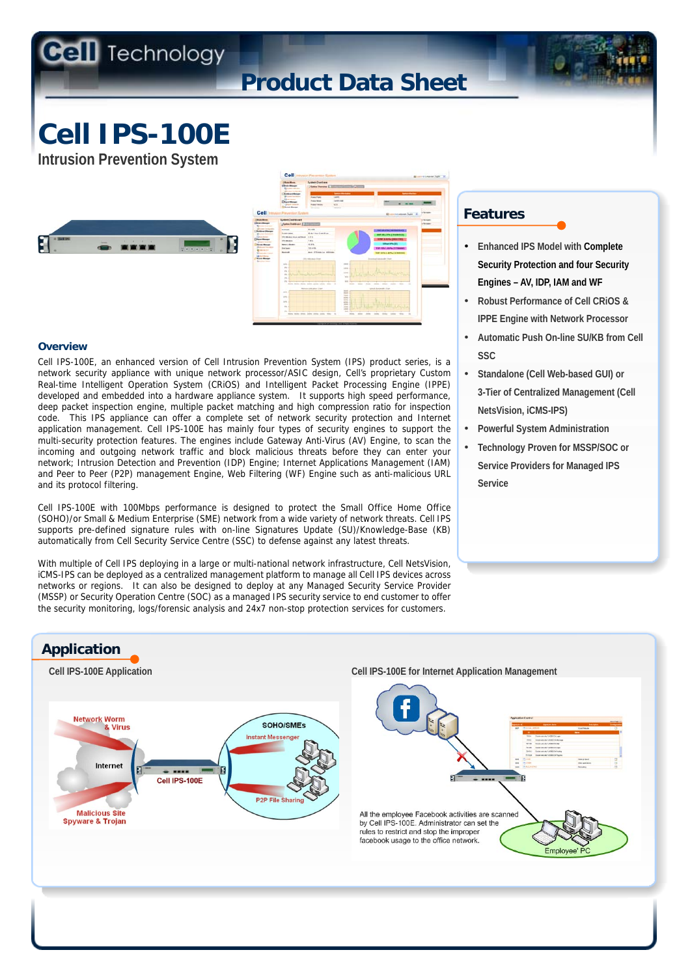# **Product Data Sheet**

**Cell IPS-100E** 

**Intrusion Prevention System** 





#### **Overview**

Cell IPS-100E, an enhanced version of Cell Intrusion Prevention System (IPS) product series, is a network security appliance with unique network processor/ASIC design, Cell's proprietary Custom Real-time Intelligent Operation System (CRiOS) and Intelligent Packet Processing Engine (IPPE) developed and embedded into a hardware appliance system. It supports high speed performance, deep packet inspection engine, multiple packet matching and high compression ratio for inspection code. This IPS appliance can offer a complete set of network security protection and Internet application management. Cell IPS-100E has mainly four types of security engines to support the multi-security protection features. The engines include Gateway Anti-Virus (AV) Engine, to scan the incoming and outgoing network traffic and block malicious threats before they can enter your network; Intrusion Detection and Prevention (IDP) Engine; Internet Applications Management (IAM) and Peer to Peer (P2P) management Engine, Web Filtering (WF) Engine such as anti-malicious URL and its protocol filtering.

Cell IPS-100E with 100Mbps performance is designed to protect the Small Office Home Office (SOHO)/or Small & Medium Enterprise (SME) network from a wide variety of network threats. Cell IPS supports pre-defined signature rules with on-line Signatures Update (SU)/Knowledge-Base (KB) automatically from Cell Security Service Centre (SSC) to defense against any latest threats.

With multiple of Cell IPS deploying in a large or multi-national network infrastructure, Cell NetsVision, iCMS-IPS can be deployed as a centralized management platform to manage all Cell IPS devices across networks or regions. It can also be designed to deploy at any Managed Security Service Provider (MSSP) or Security Operation Centre (SOC) as a managed IPS security service to end customer to offer the security monitoring, logs/forensic analysis and 24x7 non-stop protection services for customers.

### **Features**

- **Enhanced IPS Model with Complete Security Protection and four Security Engines – AV, IDP, IAM and WF**
- **Robust Performance of Cell CRiOS & IPPE Engine with Network Processor**
- **Automatic Push On-line SU/KB from Cell SSC**
- **Standalone (Cell Web-based GUI) or 3-Tier of Centralized Management (Cell NetsVision, iCMS-IPS)**
- **Powerful System Administration**
- **Technology Proven for MSSP/SOC or Service Providers for Managed IPS Service**